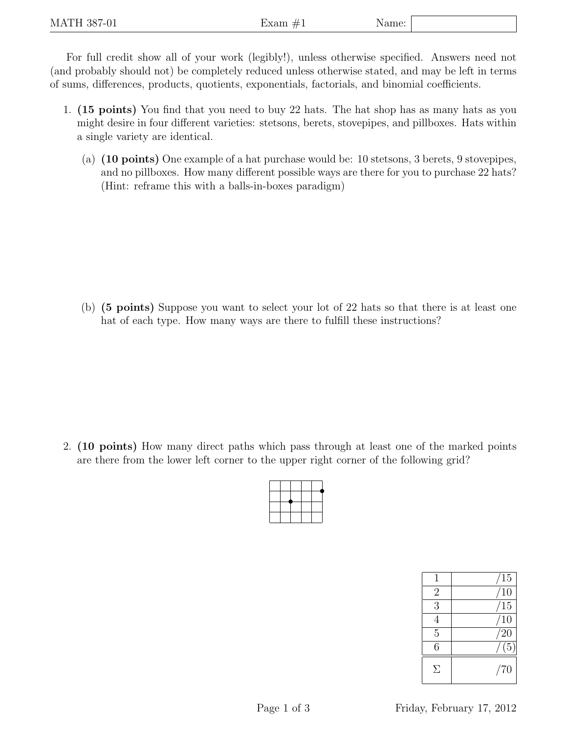For full credit show all of your work (legibly!), unless otherwise specified. Answers need not (and probably should not) be completely reduced unless otherwise stated, and may be left in terms of sums, differences, products, quotients, exponentials, factorials, and binomial coefficients.

- 1. (15 points) You find that you need to buy 22 hats. The hat shop has as many hats as you might desire in four different varieties: stetsons, berets, stovepipes, and pillboxes. Hats within a single variety are identical.
	- (a) (10 points) One example of a hat purchase would be: 10 stetsons, 3 berets, 9 stovepipes, and no pillboxes. How many different possible ways are there for you to purchase 22 hats? (Hint: reframe this with a balls-in-boxes paradigm)

(b) (5 points) Suppose you want to select your lot of 22 hats so that there is at least one hat of each type. How many ways are there to fulfill these instructions?

2. (10 points) How many direct paths which pass through at least one of the marked points are there from the lower left corner to the upper right corner of the following grid?

| 1              | 15               |
|----------------|------------------|
| $\overline{2}$ | 10               |
| 3              | <sup>'15</sup>   |
|                | 10               |
| $\overline{5}$ | 20               |
| 6              | $\overline{(5)}$ |
| Σ              | /70              |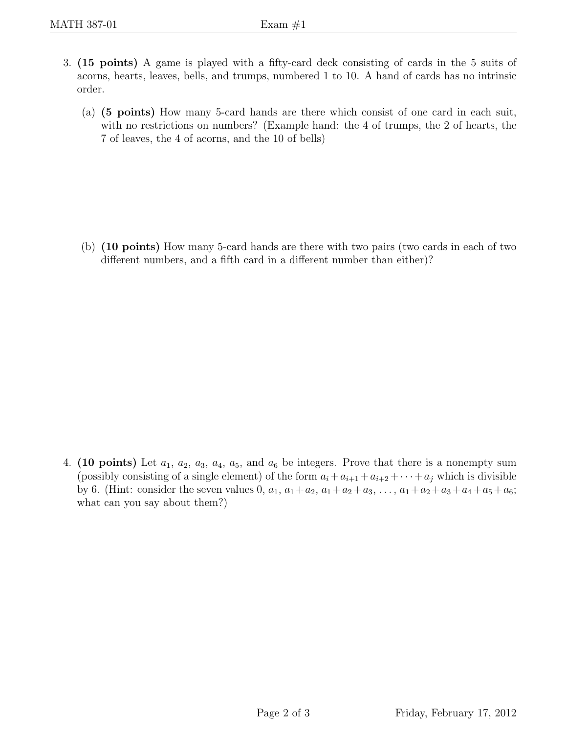- 3. (15 points) A game is played with a fifty-card deck consisting of cards in the 5 suits of acorns, hearts, leaves, bells, and trumps, numbered 1 to 10. A hand of cards has no intrinsic order.
	- (a) (5 points) How many 5-card hands are there which consist of one card in each suit, with no restrictions on numbers? (Example hand: the 4 of trumps, the 2 of hearts, the 7 of leaves, the 4 of acorns, and the 10 of bells)

(b) (10 points) How many 5-card hands are there with two pairs (two cards in each of two different numbers, and a fifth card in a different number than either)?

4. (10 points) Let  $a_1, a_2, a_3, a_4, a_5$ , and  $a_6$  be integers. Prove that there is a nonempty sum (possibly consisting of a single element) of the form  $a_i + a_{i+1} + a_{i+2} + \cdots + a_j$  which is divisible by 6. (Hint: consider the seven values 0,  $a_1$ ,  $a_1 + a_2$ ,  $a_1 + a_2 + a_3$ , ...,  $a_1 + a_2 + a_3 + a_4 + a_5 + a_6$ ; what can you say about them?)